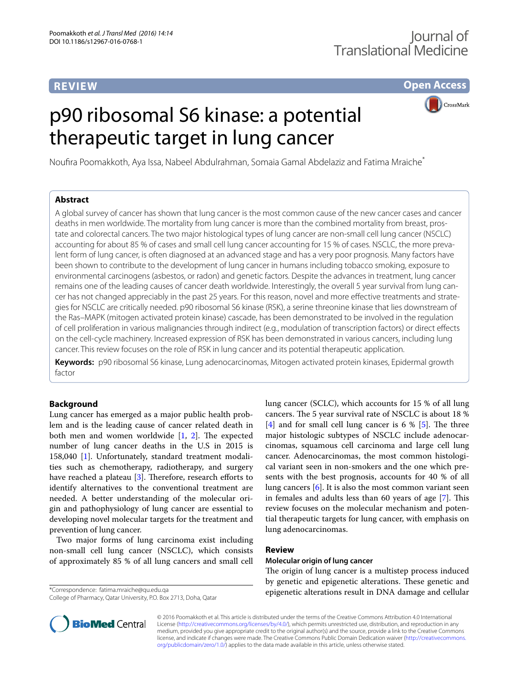# **REVIEW**

**Open Access**

# p90 ribosomal S6 kinase: a potential therapeutic target in lung cancer



Noufira Poomakkoth, Aya Issa, Nabeel Abdulrahman, Somaia Gamal Abdelaziz and Fatima Mraiche\*

## **Abstract**

A global survey of cancer has shown that lung cancer is the most common cause of the new cancer cases and cancer deaths in men worldwide. The mortality from lung cancer is more than the combined mortality from breast, prostate and colorectal cancers. The two major histological types of lung cancer are non-small cell lung cancer (NSCLC) accounting for about 85 % of cases and small cell lung cancer accounting for 15 % of cases. NSCLC, the more prevalent form of lung cancer, is often diagnosed at an advanced stage and has a very poor prognosis. Many factors have been shown to contribute to the development of lung cancer in humans including tobacco smoking, exposure to environmental carcinogens (asbestos, or radon) and genetic factors. Despite the advances in treatment, lung cancer remains one of the leading causes of cancer death worldwide. Interestingly, the overall 5 year survival from lung cancer has not changed appreciably in the past 25 years. For this reason, novel and more effective treatments and strategies for NSCLC are critically needed. p90 ribosomal S6 kinase (RSK), a serine threonine kinase that lies downstream of the Ras–MAPK (mitogen activated protein kinase) cascade, has been demonstrated to be involved in the regulation of cell proliferation in various malignancies through indirect (e.g., modulation of transcription factors) or direct effects on the cell-cycle machinery. Increased expression of RSK has been demonstrated in various cancers, including lung cancer. This review focuses on the role of RSK in lung cancer and its potential therapeutic application.

**Keywords:** p90 ribosomal S6 kinase, Lung adenocarcinomas, Mitogen activated protein kinases, Epidermal growth factor

## **Background**

Lung cancer has emerged as a major public health problem and is the leading cause of cancer related death in both men and women worldwide [[1,](#page-4-0) [2](#page-4-1)]. The expected number of lung cancer deaths in the U.S in 2015 is 158,040 [[1\]](#page-4-0). Unfortunately, standard treatment modalities such as chemotherapy, radiotherapy, and surgery have reached a plateau [\[3\]](#page-4-2). Therefore, research efforts to identify alternatives to the conventional treatment are needed. A better understanding of the molecular origin and pathophysiology of lung cancer are essential to developing novel molecular targets for the treatment and prevention of lung cancer.

Two major forms of lung carcinoma exist including non-small cell lung cancer (NSCLC), which consists of approximately 85 % of all lung cancers and small cell

\*Correspondence: fatima.mraiche@qu.edu.qa

College of Pharmacy, Qatar University, P.O. Box 2713, Doha, Qatar

lung cancer (SCLC), which accounts for 15 % of all lung cancers. The 5 year survival rate of NSCLC is about 18 % [[4\]](#page-4-3) and for small cell lung cancer is 6  $\%$  [[5\]](#page-4-4). The three major histologic subtypes of NSCLC include adenocarcinomas, squamous cell carcinoma and large cell lung cancer. Adenocarcinomas, the most common histological variant seen in non-smokers and the one which presents with the best prognosis, accounts for 40 % of all lung cancers [[6\]](#page-4-5). It is also the most common variant seen in females and adults less than 60 years of age [\[7](#page-4-6)]. This review focuses on the molecular mechanism and potential therapeutic targets for lung cancer, with emphasis on lung adenocarcinomas.

## **Review**

## **Molecular origin of lung cancer**

The origin of lung cancer is a multistep process induced by genetic and epigenetic alterations. These genetic and epigenetic alterations result in DNA damage and cellular



© 2016 Poomakkoth et al. This article is distributed under the terms of the Creative Commons Attribution 4.0 International License (<http://creativecommons.org/licenses/by/4.0/>), which permits unrestricted use, distribution, and reproduction in any medium, provided you give appropriate credit to the original author(s) and the source, provide a link to the Creative Commons license, and indicate if changes were made. The Creative Commons Public Domain Dedication waiver ([http://creativecommons.](http://creativecommons.org/publicdomain/zero/1.0/) [org/publicdomain/zero/1.0/](http://creativecommons.org/publicdomain/zero/1.0/)) applies to the data made available in this article, unless otherwise stated.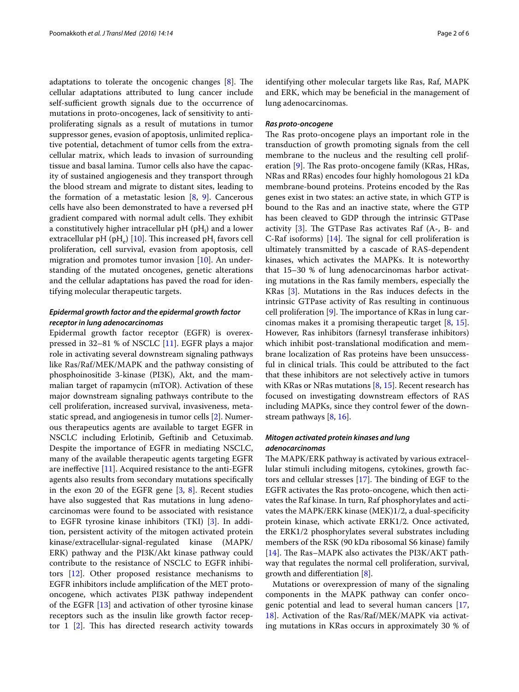adaptations to tolerate the oncogenic changes [\[8](#page-4-7)]. The cellular adaptations attributed to lung cancer include self-sufficient growth signals due to the occurrence of mutations in proto-oncogenes, lack of sensitivity to antiproliferating signals as a result of mutations in tumor suppressor genes, evasion of apoptosis, unlimited replicative potential, detachment of tumor cells from the extracellular matrix, which leads to invasion of surrounding tissue and basal lamina. Tumor cells also have the capacity of sustained angiogenesis and they transport through the blood stream and migrate to distant sites, leading to the formation of a metastatic lesion  $[8, 9]$  $[8, 9]$  $[8, 9]$ . Cancerous cells have also been demonstrated to have a reversed pH gradient compared with normal adult cells. They exhibit a constitutively higher intracellular  $pH(pH_i)$  and a lower extracellular pH (pH<sub>e</sub>) [\[10\]](#page-4-9). This increased pH<sub>i</sub> favors cell proliferation, cell survival, evasion from apoptosis, cell migration and promotes tumor invasion [\[10](#page-4-9)]. An understanding of the mutated oncogenes, genetic alterations and the cellular adaptations has paved the road for identifying molecular therapeutic targets.

## *Epidermal growth factor and the epidermal growth factor receptor in lung adenocarcinomas*

Epidermal growth factor receptor (EGFR) is overexpressed in 32–81 % of NSCLC [[11\]](#page-4-10). EGFR plays a major role in activating several downstream signaling pathways like Ras/Raf/MEK/MAPK and the pathway consisting of phosphoinositide 3-kinase (PI3K), Akt, and the mammalian target of rapamycin (mTOR). Activation of these major downstream signaling pathways contribute to the cell proliferation, increased survival, invasiveness, metastatic spread, and angiogenesis in tumor cells [\[2](#page-4-1)]. Numerous therapeutics agents are available to target EGFR in NSCLC including Erlotinib, Geftinib and Cetuximab. Despite the importance of EGFR in mediating NSCLC, many of the available therapeutic agents targeting EGFR are ineffective [[11](#page-4-10)]. Acquired resistance to the anti-EGFR agents also results from secondary mutations specifically in the exon 20 of the EGFR gene  $[3, 8]$  $[3, 8]$  $[3, 8]$ . Recent studies have also suggested that Ras mutations in lung adenocarcinomas were found to be associated with resistance to EGFR tyrosine kinase inhibitors (TKI) [\[3](#page-4-2)]. In addition, persistent activity of the mitogen activated protein kinase/extracellular-signal-regulated kinase (MAPK/ ERK) pathway and the PI3K/Akt kinase pathway could contribute to the resistance of NSCLC to EGFR inhibitors [[12\]](#page-4-11). Other proposed resistance mechanisms to EGFR inhibitors include amplification of the MET protooncogene, which activates PI3K pathway independent of the EGFR [\[13](#page-4-12)] and activation of other tyrosine kinase receptors such as the insulin like growth factor receptor 1 [\[2](#page-4-1)]. This has directed research activity towards identifying other molecular targets like Ras, Raf, MAPK and ERK, which may be beneficial in the management of lung adenocarcinomas.

### *Ras proto‑oncogene*

The Ras proto-oncogene plays an important role in the transduction of growth promoting signals from the cell membrane to the nucleus and the resulting cell proliferation [[9\]](#page-4-8). The Ras proto-oncogene family (KRas, HRas, NRas and RRas) encodes four highly homologous 21 kDa membrane-bound proteins. Proteins encoded by the Ras genes exist in two states: an active state, in which GTP is bound to the Ras and an inactive state, where the GTP has been cleaved to GDP through the intrinsic GTPase activity  $[3]$ . The GTPase Ras activates Raf  $(A_7, B_7, A_8)$ C-Raf isoforms) [\[14\]](#page-4-13). The signal for cell proliferation is ultimately transmitted by a cascade of RAS-dependent kinases, which activates the MAPKs. It is noteworthy that 15–30 % of lung adenocarcinomas harbor activating mutations in the Ras family members, especially the KRas [[3\]](#page-4-2). Mutations in the Ras induces defects in the intrinsic GTPase activity of Ras resulting in continuous cell proliferation [[9\]](#page-4-8). The importance of KRas in lung carcinomas makes it a promising therapeutic target [[8,](#page-4-7) [15](#page-4-14)]. However, Ras inhibitors (farnesyl transferase inhibitors) which inhibit post-translational modification and membrane localization of Ras proteins have been unsuccessful in clinical trials. This could be attributed to the fact that these inhibitors are not selectively active in tumors with KRas or NRas mutations [[8,](#page-4-7) [15](#page-4-14)]. Recent research has focused on investigating downstream effectors of RAS including MAPKs, since they control fewer of the downstream pathways [\[8](#page-4-7), [16\]](#page-4-15).

## *Mitogen activated protein kinases and lung adenocarcinomas*

The MAPK/ERK pathway is activated by various extracellular stimuli including mitogens, cytokines, growth factors and cellular stresses [[17\]](#page-4-16). The binding of EGF to the EGFR activates the Ras proto-oncogene, which then activates the Raf kinase. In turn, Raf phosphorylates and activates the MAPK/ERK kinase (MEK)1/2, a dual-specificity protein kinase, which activate ERK1/2. Once activated, the ERK1/2 phosphorylates several substrates including members of the RSK (90 kDa ribosomal S6 kinase) family [[14\]](#page-4-13). The Ras–MAPK also activates the PI3K/AKT pathway that regulates the normal cell proliferation, survival, growth and differentiation [[8\]](#page-4-7).

Mutations or overexpression of many of the signaling components in the MAPK pathway can confer oncogenic potential and lead to several human cancers [[17](#page-4-16), [18\]](#page-4-17). Activation of the Ras/Raf/MEK/MAPK via activating mutations in KRas occurs in approximately 30 % of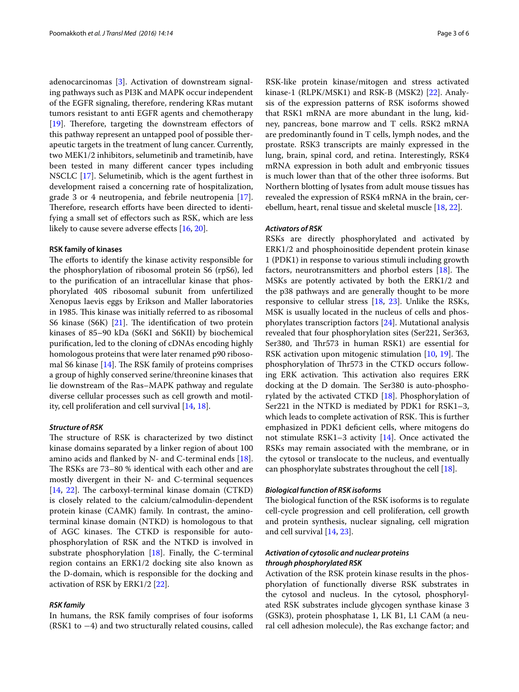adenocarcinomas [[3\]](#page-4-2). Activation of downstream signaling pathways such as PI3K and MAPK occur independent of the EGFR signaling, therefore, rendering KRas mutant tumors resistant to anti EGFR agents and chemotherapy [[19\]](#page-4-18). Therefore, targeting the downstream effectors of this pathway represent an untapped pool of possible therapeutic targets in the treatment of lung cancer. Currently, two MEK1/2 inhibitors, selumetinib and trametinib, have been tested in many different cancer types including NSCLC [[17\]](#page-4-16). Selumetinib, which is the agent furthest in development raised a concerning rate of hospitalization, grade 3 or 4 neutropenia, and febrile neutropenia [\[17](#page-4-16)]. Therefore, research efforts have been directed to identifying a small set of effectors such as RSK, which are less likely to cause severe adverse effects [[16,](#page-4-15) [20](#page-4-19)].

#### **RSK family of kinases**

The efforts to identify the kinase activity responsible for the phosphorylation of ribosomal protein S6 (rpS6), led to the purification of an intracellular kinase that phosphorylated 40S ribosomal subunit from unfertilized Xenopus laevis eggs by Erikson and Maller laboratories in 1985. This kinase was initially referred to as ribosomal S6 kinase (S6K) [\[21](#page-4-20)]. The identification of two protein kinases of 85–90 kDa (S6KI and S6KII) by biochemical purification, led to the cloning of cDNAs encoding highly homologous proteins that were later renamed p90 ribosomal S6 kinase [\[14](#page-4-13)]. The RSK family of proteins comprises a group of highly conserved serine/threonine kinases that lie downstream of the Ras–MAPK pathway and regulate diverse cellular processes such as cell growth and motility, cell proliferation and cell survival [\[14,](#page-4-13) [18](#page-4-17)].

#### *Structure of RSK*

The structure of RSK is characterized by two distinct kinase domains separated by a linker region of about 100 amino acids and flanked by N- and C-terminal ends  $[18]$  $[18]$ . The RSKs are 73–80 % identical with each other and are mostly divergent in their N- and C-terminal sequences [[14,](#page-4-13) [22\]](#page-4-21). The carboxyl-terminal kinase domain (CTKD) is closely related to the calcium/calmodulin-dependent protein kinase (CAMK) family. In contrast, the aminoterminal kinase domain (NTKD) is homologous to that of AGC kinases. The CTKD is responsible for autophosphorylation of RSK and the NTKD is involved in substrate phosphorylation  $[18]$ . Finally, the C-terminal region contains an ERK1/2 docking site also known as the D-domain, which is responsible for the docking and activation of RSK by ERK1/2 [\[22\]](#page-4-21).

#### *RSK family*

In humans, the RSK family comprises of four isoforms (RSK1 to −4) and two structurally related cousins, called

RSK-like protein kinase/mitogen and stress activated kinase-1 (RLPK/MSK1) and RSK-B (MSK2) [\[22](#page-4-21)]. Analysis of the expression patterns of RSK isoforms showed that RSK1 mRNA are more abundant in the lung, kidney, pancreas, bone marrow and T cells. RSK2 mRNA are predominantly found in T cells, lymph nodes, and the prostate. RSK3 transcripts are mainly expressed in the lung, brain, spinal cord, and retina. Interestingly, RSK4 mRNA expression in both adult and embryonic tissues is much lower than that of the other three isoforms. But Northern blotting of lysates from adult mouse tissues has revealed the expression of RSK4 mRNA in the brain, cerebellum, heart, renal tissue and skeletal muscle [\[18](#page-4-17), [22](#page-4-21)].

#### *Activators of RSK*

RSKs are directly phosphorylated and activated by ERK1/2 and phosphoinositide dependent protein kinase 1 (PDK1) in response to various stimuli including growth factors, neurotransmitters and phorbol esters [[18\]](#page-4-17). The MSKs are potently activated by both the ERK1/2 and the p38 pathways and are generally thought to be more responsive to cellular stress [[18,](#page-4-17) [23](#page-4-22)]. Unlike the RSKs, MSK is usually located in the nucleus of cells and phosphorylates transcription factors [\[24](#page-4-23)]. Mutational analysis revealed that four phosphorylation sites (Ser221, Ser363, Ser380, and Thr573 in human RSK1) are essential for RSK activation upon mitogenic stimulation [[10,](#page-4-9) [19\]](#page-4-18). The phosphorylation of Thr573 in the CTKD occurs following ERK activation. This activation also requires ERK docking at the D domain. The Ser380 is auto-phosphorylated by the activated CTKD [[18\]](#page-4-17). Phosphorylation of Ser221 in the NTKD is mediated by PDK1 for RSK1–3, which leads to complete activation of RSK. This is further emphasized in PDK1 deficient cells, where mitogens do not stimulate RSK1–3 activity [\[14](#page-4-13)]. Once activated the RSKs may remain associated with the membrane, or in the cytosol or translocate to the nucleus, and eventually can phosphorylate substrates throughout the cell [\[18](#page-4-17)].

#### *Biological function of RSK isoforms*

The biological function of the RSK isoforms is to regulate cell-cycle progression and cell proliferation, cell growth and protein synthesis, nuclear signaling, cell migration and cell survival [\[14,](#page-4-13) [23](#page-4-22)].

## *Activation of cytosolic and nuclear proteins through phosphorylated RSK*

Activation of the RSK protein kinase results in the phosphorylation of functionally diverse RSK substrates in the cytosol and nucleus. In the cytosol, phosphorylated RSK substrates include glycogen synthase kinase 3 (GSK3), protein phosphatase 1, LK B1, L1 CAM (a neural cell adhesion molecule), the Ras exchange factor; and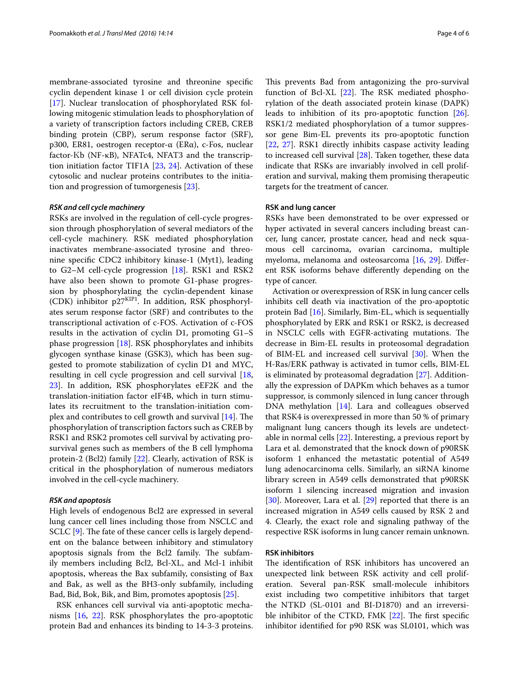membrane-associated tyrosine and threonine specific cyclin dependent kinase 1 or cell division cycle protein [[17\]](#page-4-16). Nuclear translocation of phosphorylated RSK following mitogenic stimulation leads to phosphorylation of a variety of transcription factors including CREB, CREB binding protein (CBP), serum response factor (SRF), p300, ER81, oestrogen receptor-α (ERα), c-Fos, nuclear factor-Κb (NF-κB), NFATc4, NFAT3 and the transcription initiation factor TIF1A [[23,](#page-4-22) [24](#page-4-23)]. Activation of these cytosolic and nuclear proteins contributes to the initiation and progression of tumorgenesis [\[23\]](#page-4-22).

#### *RSK and cell cycle machinery*

RSKs are involved in the regulation of cell-cycle progression through phosphorylation of several mediators of the cell-cycle machinery. RSK mediated phosphorylation inactivates membrane-associated tyrosine and threonine specific CDC2 inhibitory kinase-1 (Myt1), leading to G2–M cell-cycle progression [\[18](#page-4-17)]. RSK1 and RSK2 have also been shown to promote G1-phase progression by phosphorylating the cyclin-dependent kinase (CDK) inhibitor p27KIP1. In addition, RSK phosphorylates serum response factor (SRF) and contributes to the transcriptional activation of c-FOS. Activation of c-FOS results in the activation of cyclin D1, promoting G1–S phase progression [\[18](#page-4-17)]. RSK phosphorylates and inhibits glycogen synthase kinase (GSK3), which has been suggested to promote stabilization of cyclin D1 and MYC, resulting in cell cycle progression and cell survival [\[18](#page-4-17), [23\]](#page-4-22). In addition, RSK phosphorylates eEF2K and the translation-initiation factor eIF4B, which in turn stimulates its recruitment to the translation-initiation complex and contributes to cell growth and survival [\[14](#page-4-13)]. The phosphorylation of transcription factors such as CREB by RSK1 and RSK2 promotes cell survival by activating prosurvival genes such as members of the B cell lymphoma protein-2 (Bcl2) family [[22\]](#page-4-21). Clearly, activation of RSK is critical in the phosphorylation of numerous mediators involved in the cell-cycle machinery.

#### *RSK and apoptosis*

High levels of endogenous Bcl2 are expressed in several lung cancer cell lines including those from NSCLC and SCLC [[9](#page-4-8)]. The fate of these cancer cells is largely dependent on the balance between inhibitory and stimulatory apoptosis signals from the Bcl2 family. The subfamily members including Bcl2, Bcl-XL, and Mcl-1 inhibit apoptosis, whereas the Bax subfamily, consisting of Bax and Bak, as well as the BH3-only subfamily, including Bad, Bid, Bok, Bik, and Bim, promotes apoptosis [\[25](#page-5-0)].

RSK enhances cell survival via anti-apoptotic mechanisms [[16,](#page-4-15) [22\]](#page-4-21). RSK phosphorylates the pro-apoptotic protein Bad and enhances its binding to 14-3-3 proteins. This prevents Bad from antagonizing the pro-survival function of Bcl-XL [[22\]](#page-4-21). The RSK mediated phosphorylation of the death associated protein kinase (DAPK) leads to inhibition of its pro-apoptotic function [\[26](#page-5-1)]. RSK1/2 mediated phosphorylation of a tumor suppressor gene Bim-EL prevents its pro-apoptotic function [[22,](#page-4-21) [27\]](#page-5-2). RSK1 directly inhibits caspase activity leading to increased cell survival [[28](#page-5-3)]. Taken together, these data indicate that RSKs are invariably involved in cell proliferation and survival, making them promising therapeutic targets for the treatment of cancer.

### **RSK and lung cancer**

RSKs have been demonstrated to be over expressed or hyper activated in several cancers including breast cancer, lung cancer, prostate cancer, head and neck squamous cell carcinoma, ovarian carcinoma, multiple myeloma, melanoma and osteosarcoma [[16,](#page-4-15) [29](#page-5-4)]. Different RSK isoforms behave differently depending on the type of cancer.

Activation or overexpression of RSK in lung cancer cells inhibits cell death via inactivation of the pro-apoptotic protein Bad [[16](#page-4-15)]. Similarly, Bim-EL, which is sequentially phosphorylated by ERK and RSK1 or RSK2, is decreased in NSCLC cells with EGFR-activating mutations. The decrease in Bim-EL results in proteosomal degradation of BIM-EL and increased cell survival [\[30\]](#page-5-5). When the H-Ras/ERK pathway is activated in tumor cells, BIM-EL is eliminated by proteasomal degradation [\[27](#page-5-2)]. Additionally the expression of DAPKm which behaves as a tumor suppressor, is commonly silenced in lung cancer through DNA methylation [\[14](#page-4-13)]. Lara and colleagues observed that RSK4 is overexpressed in more than 50 % of primary malignant lung cancers though its levels are undetectable in normal cells [\[22](#page-4-21)]. Interesting, a previous report by Lara et al. demonstrated that the knock down of p90RSK isoform 1 enhanced the metastatic potential of A549 lung adenocarcinoma cells. Similarly, an siRNA kinome library screen in A549 cells demonstrated that p90RSK isoform 1 silencing increased migration and invasion [[30\]](#page-5-5). Moreover, Lara et al. [[29\]](#page-5-4) reported that there is an increased migration in A549 cells caused by RSK 2 and 4. Clearly, the exact role and signaling pathway of the respective RSK isoforms in lung cancer remain unknown.

#### **RSK inhibitors**

The identification of RSK inhibitors has uncovered an unexpected link between RSK activity and cell proliferation. Several pan-RSK small-molecule inhibitors exist including two competitive inhibitors that target the NTKD (SL-0101 and BI-D1870) and an irreversible inhibitor of the CTKD, FMK [[22\]](#page-4-21). The first specific inhibitor identified for p90 RSK was SL0101, which was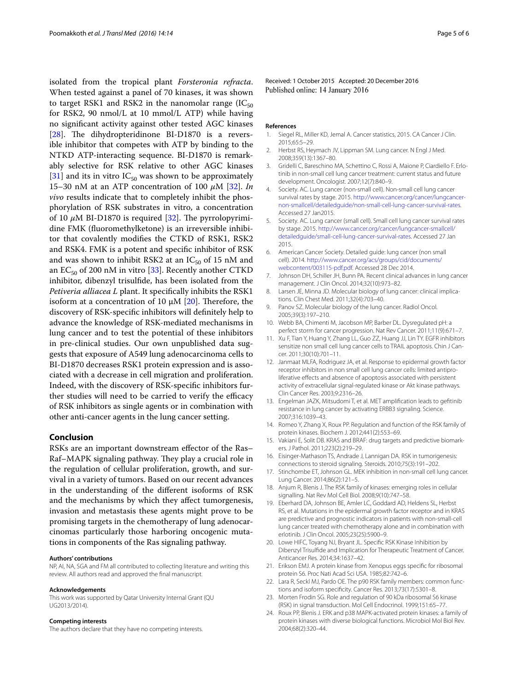isolated from the tropical plant *Forsteronia refracta*. When tested against a panel of 70 kinases, it was shown to target RSK1 and RSK2 in the nanomolar range ( $IC_{50}$ ) for RSK2, 90 nmol/L at 10 mmol/L ATP) while having no significant activity against other tested AGC kinases [[28\]](#page-5-3). The dihydropteridinone BI-D1870 is a reversible inhibitor that competes with ATP by binding to the NTKD ATP-interacting sequence. BI-D1870 is remarkably selective for RSK relative to other AGC kinases [[31\]](#page-5-6) and its in vitro  $IC_{50}$  was shown to be approximately 15–30 nM at an ATP concentration of 100 *μ*M [\[32](#page-5-7)]. *In vivo* results indicate that to completely inhibit the phosphorylation of RSK substrates in vitro, a concentration of 10 *μ*M BI-D1870 is required [[32](#page-5-7)]. The pyrrolopyrimidine FMK (fluoromethylketone) is an irreversible inhibitor that covalently modifies the CTKD of RSK1, RSK2 and RSK4. FMK is a potent and specific inhibitor of RSK and was shown to inhibit RSK2 at an  $IC_{50}$  of 15 nM and an  $EC_{50}$  of 200 nM in vitro [[33\]](#page-5-8). Recently another CTKD inhibitor, dibenzyl trisulfide, has been isolated from the *Petiveria alliacea L* plant. It specifically inhibits the RSK1 isoform at a concentration of 10  $\mu$ M [\[20](#page-4-19)]. Therefore, the discovery of RSK-specific inhibitors will definitely help to advance the knowledge of RSK-mediated mechanisms in lung cancer and to test the potential of these inhibitors in pre-clinical studies. Our own unpublished data suggests that exposure of A549 lung adenocarcinoma cells to BI-D1870 decreases RSK1 protein expression and is associated with a decrease in cell migration and proliferation. Indeed, with the discovery of RSK-specific inhibitors further studies will need to be carried to verify the efficacy of RSK inhibitors as single agents or in combination with other anti-cancer agents in the lung cancer setting.

#### **Conclusion**

RSKs are an important downstream effector of the Ras– Raf–MAPK signaling pathway. They play a crucial role in the regulation of cellular proliferation, growth, and survival in a variety of tumors. Based on our recent advances in the understanding of the different isoforms of RSK and the mechanisms by which they affect tumorgenesis, invasion and metastasis these agents might prove to be promising targets in the chemotherapy of lung adenocarcinomas particularly those harboring oncogenic mutations in components of the Ras signaling pathway.

#### **Authors' contributions**

NP, AI, NA, SGA and FM all contributed to collecting literature and writing this review. All authors read and approved the final manuscript.

#### **Acknowledgements**

This work was supported by Qatar University Internal Grant (QU UG2013/2014).

#### **Competing interests**

The authors declare that they have no competing interests.

Received: 1 October 2015 Accepted: 20 December 2016 Published online: 14 January 2016

#### **References**

- <span id="page-4-0"></span>1. Siegel RL, Miller KD, Jemal A. Cancer statistics, 2015. CA Cancer J Clin. 2015;65:5–29.
- <span id="page-4-1"></span>2. Herbst RS, Heymach JV, Lippman SM. Lung cancer. N Engl J Med. 2008;359(13):1367–80.
- <span id="page-4-2"></span>3. Gridelli C, Bareschino MA, Schettino C, Rossi A, Maione P, Ciardiello F. Erlotinib in non-small cell lung cancer treatment: current status and future development. Oncologist. 2007;12(7):840–9.
- <span id="page-4-3"></span>4. Society. AC. Lung cancer (non-small cell). Non-small cell lung cancer survival rates by stage. 2015. [http://www.cancer.org/cancer/lungcancer](http://www.cancer.org/cancer/lungcancer-non-smallcell/detailedguide/non-small-cell-lung-cancer-survival-rates)[non-smallcell/detailedguide/non-small-cell-lung-cancer-survival-rates](http://www.cancer.org/cancer/lungcancer-non-smallcell/detailedguide/non-small-cell-lung-cancer-survival-rates). Accessed 27 Jan2015.
- <span id="page-4-4"></span>5. Society. AC. Lung cancer (small cell). Small cell lung cancer survival rates by stage. 2015. [http://www.cancer.org/cancer/lungcancer-smallcell/](http://www.cancer.org/cancer/lungcancer-smallcell/detailedguide/small-cell-lung-cancer-survival-rates) [detailedguide/small-cell-lung-cancer-survival-rates.](http://www.cancer.org/cancer/lungcancer-smallcell/detailedguide/small-cell-lung-cancer-survival-rates) Accessed 27 Jan 2015.
- <span id="page-4-5"></span>6. American Cancer Society. Detailed guide: lung cancer (non small cell). 2014. [http://www.cancer.org/acs/groups/cid/documents/](http://www.cancer.org/acs/groups/cid/documents/webcontent/003115-pdf.pdf) [webcontent/003115-pdf.pdf.](http://www.cancer.org/acs/groups/cid/documents/webcontent/003115-pdf.pdf) Accessed 28 Dec 2014.
- <span id="page-4-6"></span>7. Johnson DH, Schiller JH, Bunn PA. Recent clinical advances in lung cancer management. J Clin Oncol. 2014;32(10):973–82.
- <span id="page-4-7"></span>8. Larsen JE, Minna JD. Molecular biology of lung cancer: clinical implications. Clin Chest Med. 2011;32(4):703–40.
- <span id="page-4-8"></span>Panov SZ. Molecular biology of the lung cancer. Radiol Oncol. 2005;39(3):197–210.
- <span id="page-4-9"></span>10. Webb BA, Chimenti M, Jacobson MP, Barber DL. Dysregulated pH: a perfect storm for cancer progression. Nat Rev Cancer. 2011;11(9):671–7.
- <span id="page-4-10"></span>11. Xu F, Tian Y, Huang Y, Zhang LL, Guo ZZ, Huang JJ, Lin TY. EGFR inhibitors sensitize non small cell lung cancer cells to TRAIL apoptosis. Chin J Cancer. 2011;30(10):701–11.
- <span id="page-4-11"></span>12. Janmaat MLFA, Rodriguez JA, et al. Response to epidermal growth factor receptor inhibitors in non small cell lung cancer cells: limited antiproliferative effects and absence of apoptosis associated with persistent activity of extracellular signal-regulated kinase or Akt kinase pathways. Clin Cancer Res. 2003;9:2316–26.
- <span id="page-4-12"></span>13. Engelman JAZK, Mitsudomi T, et al. MET amplification leads to gefitinib resistance in lung cancer by activating ERBB3 signaling. Science. 2007;316:1039–43.
- <span id="page-4-13"></span>14. Romeo Y, Zhang X, Roux PP. Regulation and function of the RSK family of protein kinases. Biochem J. 2012;441(2):553–69.
- <span id="page-4-14"></span>15. Vakiani E, Solit DB. KRAS and BRAF: drug targets and predictive biomarkers. J Pathol. 2011;223(2):219–29.
- <span id="page-4-15"></span>16. Eisinger-Mathason TS, Andrade J, Lannigan DA. RSK in tumorigenesis: connections to steroid signaling. Steroids. 2010;75(3):191–202.
- <span id="page-4-16"></span>17. Stinchombe ET, Johnson GL. MEK inhibition in non-small cell lung cancer. Lung Cancer. 2014;86(2):121–5.
- <span id="page-4-17"></span>18. Anjum R, Blenis J. The RSK family of kinases: emerging roles in cellular signalling. Nat Rev Mol Cell Biol. 2008;9(10):747–58.
- <span id="page-4-18"></span>19. Eberhard DA, Johnson BE, Amler LC, Goddard AD, Heldens SL, Herbst RS, et al. Mutations in the epidermal growth factor receptor and in KRAS are predictive and prognostic indicators in patients with non-small-cell lung cancer treated with chemotherapy alone and in combination with erlotinib. J Clin Oncol. 2005;23(25):5900–9.
- <span id="page-4-19"></span>20. Lowe HIFC, Toyang NJ, Bryant JL. Specific RSK Kinase Inhibition by Dibenzyl Trisulfide and Implication for Therapeutic Treatment of Cancer. Anticancer Res. 2014;34:1637–42.
- <span id="page-4-20"></span>21. Erikson EMJ. A protein kinase from Xenopus eggs specific for ribosomal protein S6. Proc Nati Acad Sci USA. 1985;82:742–6.
- <span id="page-4-21"></span>22. Lara R, Seckl MJ, Pardo OE. The p90 RSK family members: common functions and isoform specificity. Cancer Res. 2013;73(17):5301–8.
- <span id="page-4-22"></span>23. Morten Frodin SG. Role and regulation of 90 kDa ribosomal S6 kinase (RSK) in signal transduction. Mol Cell Endocrinol. 1999;151:65–77.
- <span id="page-4-23"></span>24. Roux PP, Blenis J. ERK and p38 MAPK-activated protein kinases: a family of protein kinases with diverse biological functions. Microbiol Mol Biol Rev. 2004;68(2):320–44.